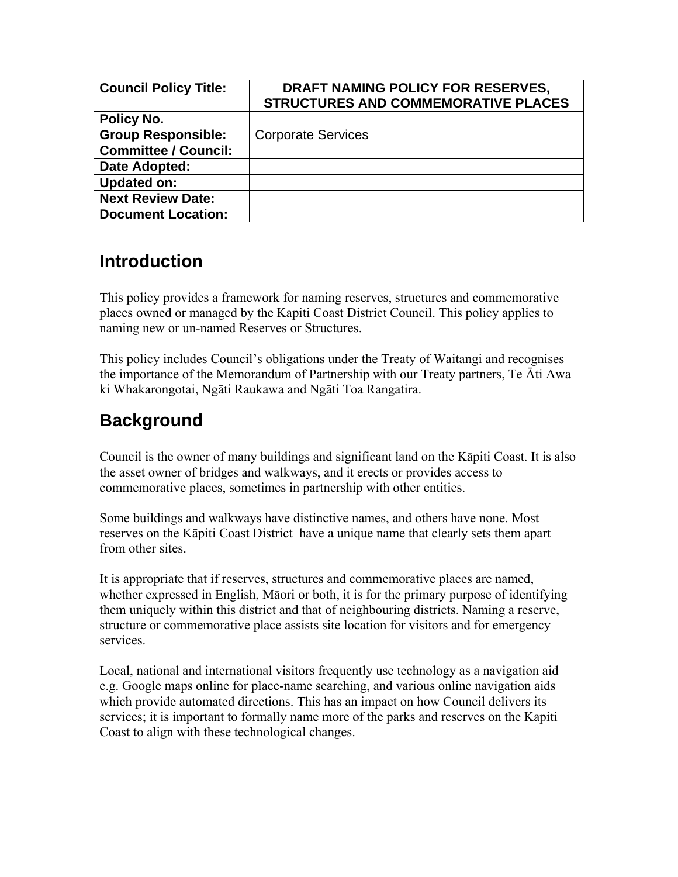| <b>Council Policy Title:</b> | DRAFT NAMING POLICY FOR RESERVES,<br><b>STRUCTURES AND COMMEMORATIVE PLACES</b> |
|------------------------------|---------------------------------------------------------------------------------|
| Policy No.                   |                                                                                 |
| <b>Group Responsible:</b>    | <b>Corporate Services</b>                                                       |
| <b>Committee / Council:</b>  |                                                                                 |
| Date Adopted:                |                                                                                 |
| <b>Updated on:</b>           |                                                                                 |
| <b>Next Review Date:</b>     |                                                                                 |
| <b>Document Location:</b>    |                                                                                 |

## **Introduction**

This policy provides a framework for naming reserves, structures and commemorative places owned or managed by the Kapiti Coast District Council. This policy applies to naming new or un-named Reserves or Structures.

This policy includes Council's obligations under the Treaty of Waitangi and recognises the importance of the Memorandum of Partnership with our Treaty partners, Te Āti Awa ki Whakarongotai, Ngāti Raukawa and Ngāti Toa Rangatira.

## **Background**

Council is the owner of many buildings and significant land on the Kāpiti Coast. It is also the asset owner of bridges and walkways, and it erects or provides access to commemorative places, sometimes in partnership with other entities.

Some buildings and walkways have distinctive names, and others have none. Most reserves on the Kāpiti Coast District have a unique name that clearly sets them apart from other sites.

It is appropriate that if reserves, structures and commemorative places are named, whether expressed in English, Māori or both, it is for the primary purpose of identifying them uniquely within this district and that of neighbouring districts. Naming a reserve, structure or commemorative place assists site location for visitors and for emergency services.

Local, national and international visitors frequently use technology as a navigation aid e.g. Google maps online for place-name searching, and various online navigation aids which provide automated directions. This has an impact on how Council delivers its services; it is important to formally name more of the parks and reserves on the Kapiti Coast to align with these technological changes.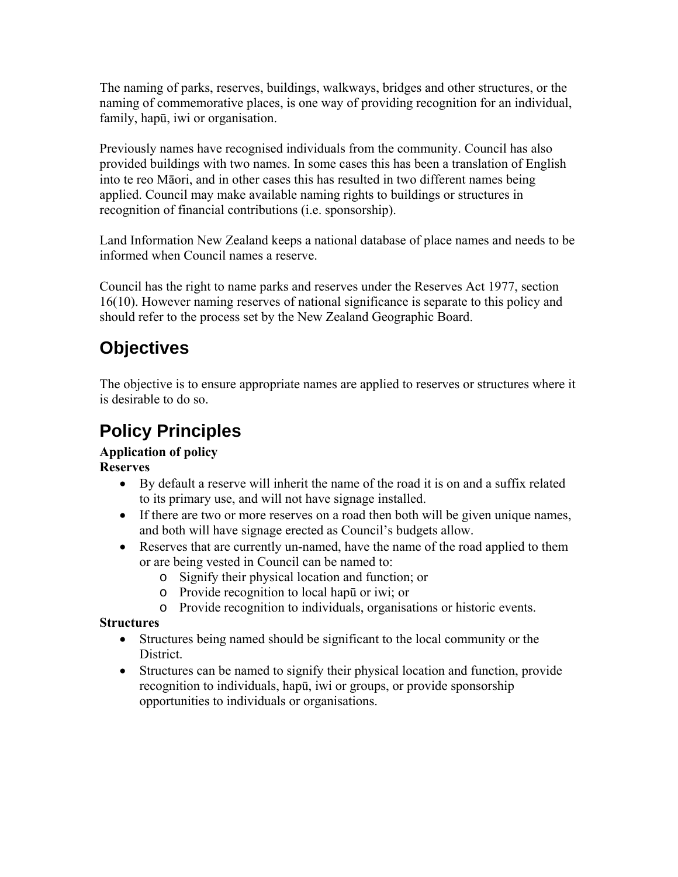The naming of parks, reserves, buildings, walkways, bridges and other structures, or the naming of commemorative places, is one way of providing recognition for an individual, family, hapū, iwi or organisation.

Previously names have recognised individuals from the community. Council has also provided buildings with two names. In some cases this has been a translation of English into te reo Māori, and in other cases this has resulted in two different names being applied. Council may make available naming rights to buildings or structures in recognition of financial contributions (i.e. sponsorship).

Land Information New Zealand keeps a national database of place names and needs to be informed when Council names a reserve.

Council has the right to name parks and reserves under the Reserves Act 1977, section 16(10). However naming reserves of national significance is separate to this policy and should refer to the process set by the New Zealand Geographic Board.

# **Objectives**

The objective is to ensure appropriate names are applied to reserves or structures where it is desirable to do so.

# **Policy Principles**

## **Application of policy**

**Reserves** 

- By default a reserve will inherit the name of the road it is on and a suffix related to its primary use, and will not have signage installed.
- If there are two or more reserves on a road then both will be given unique names, and both will have signage erected as Council's budgets allow.
- Reserves that are currently un-named, have the name of the road applied to them or are being vested in Council can be named to:
	- o Signify their physical location and function; or
	- o Provide recognition to local hapū or iwi; or
	- o Provide recognition to individuals, organisations or historic events.

## **Structures**

- Structures being named should be significant to the local community or the **District**
- Structures can be named to signify their physical location and function, provide recognition to individuals, hapū, iwi or groups, or provide sponsorship opportunities to individuals or organisations.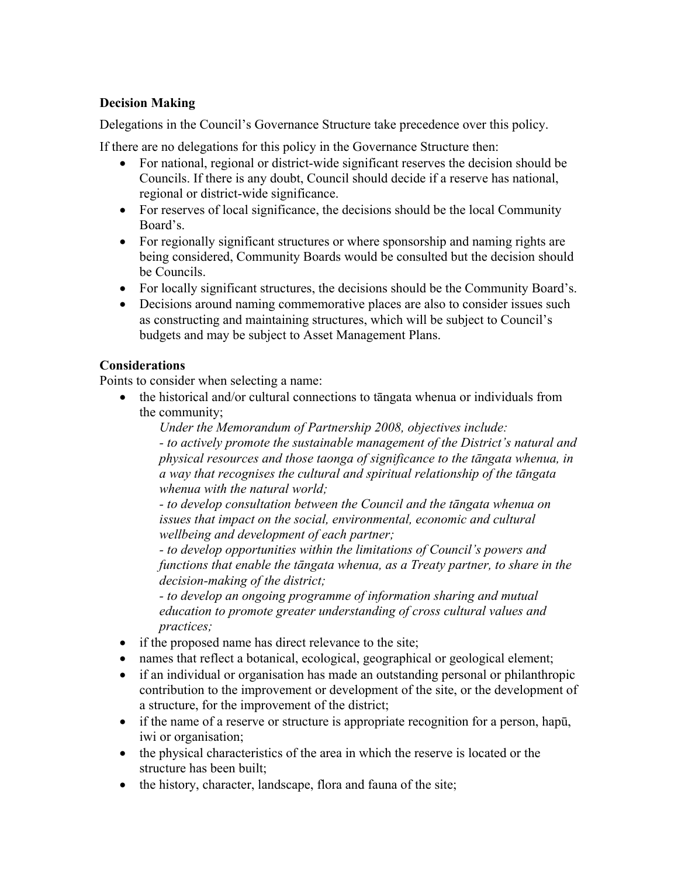### **Decision Making**

Delegations in the Council's Governance Structure take precedence over this policy.

If there are no delegations for this policy in the Governance Structure then:

- For national, regional or district-wide significant reserves the decision should be Councils. If there is any doubt, Council should decide if a reserve has national, regional or district-wide significance.
- For reserves of local significance, the decisions should be the local Community Board's.
- For regionally significant structures or where sponsorship and naming rights are being considered, Community Boards would be consulted but the decision should be Councils.
- For locally significant structures, the decisions should be the Community Board's.
- Decisions around naming commemorative places are also to consider issues such as constructing and maintaining structures, which will be subject to Council's budgets and may be subject to Asset Management Plans.

#### **Considerations**

Points to consider when selecting a name:

• the historical and/or cultural connections to tāngata whenua or individuals from the community;

*Under the Memorandum of Partnership 2008, objectives include:*

*- to actively promote the sustainable management of the District's natural and physical resources and those taonga of significance to the tāngata whenua, in a way that recognises the cultural and spiritual relationship of the tāngata whenua with the natural world;* 

*- to develop consultation between the Council and the tāngata whenua on issues that impact on the social, environmental, economic and cultural wellbeing and development of each partner;* 

*- to develop opportunities within the limitations of Council's powers and functions that enable the tāngata whenua, as a Treaty partner, to share in the decision-making of the district;* 

*- to develop an ongoing programme of information sharing and mutual education to promote greater understanding of cross cultural values and practices;*

- if the proposed name has direct relevance to the site;
- names that reflect a botanical, ecological, geographical or geological element;
- if an individual or organisation has made an outstanding personal or philanthropic contribution to the improvement or development of the site, or the development of a structure, for the improvement of the district;
- if the name of a reserve or structure is appropriate recognition for a person, hapu, iwi or organisation;
- the physical characteristics of the area in which the reserve is located or the structure has been built;
- the history, character, landscape, flora and fauna of the site;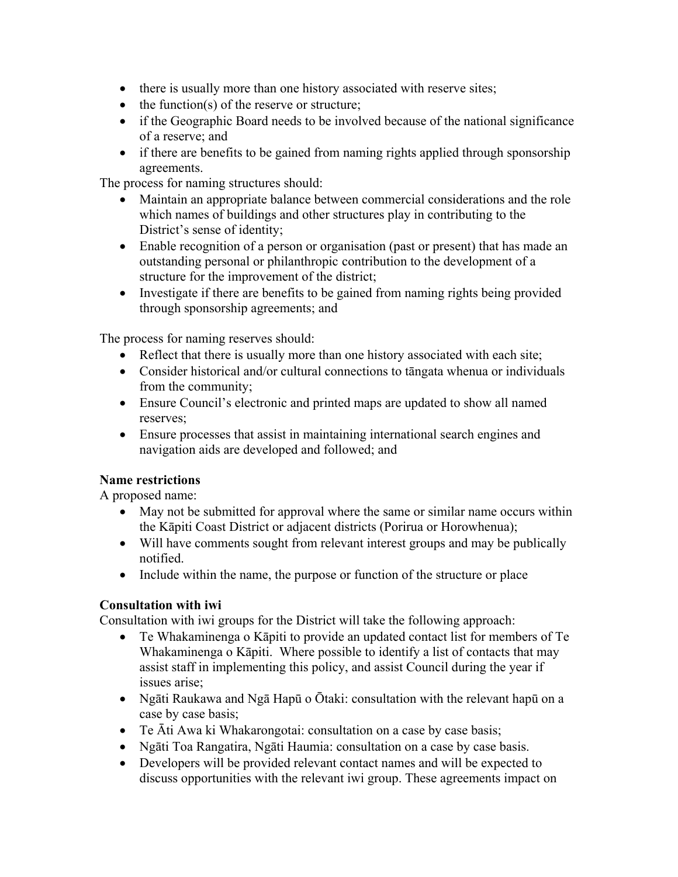- there is usually more than one history associated with reserve sites;
- the function(s) of the reserve or structure;
- if the Geographic Board needs to be involved because of the national significance of a reserve; and
- if there are benefits to be gained from naming rights applied through sponsorship agreements.

The process for naming structures should:

- Maintain an appropriate balance between commercial considerations and the role which names of buildings and other structures play in contributing to the District's sense of identity;
- Enable recognition of a person or organisation (past or present) that has made an outstanding personal or philanthropic contribution to the development of a structure for the improvement of the district;
- Investigate if there are benefits to be gained from naming rights being provided through sponsorship agreements; and

The process for naming reserves should:

- Reflect that there is usually more than one history associated with each site;
- Consider historical and/or cultural connections to tangata whenua or individuals from the community;
- Ensure Council's electronic and printed maps are updated to show all named reserves;
- Ensure processes that assist in maintaining international search engines and navigation aids are developed and followed; and

## **Name restrictions**

A proposed name:

- May not be submitted for approval where the same or similar name occurs within the Kāpiti Coast District or adjacent districts (Porirua or Horowhenua);
- Will have comments sought from relevant interest groups and may be publically notified.
- Include within the name, the purpose or function of the structure or place

## **Consultation with iwi**

Consultation with iwi groups for the District will take the following approach:

- Te Whakaminenga o Kāpiti to provide an updated contact list for members of Te Whakaminenga o Kāpiti. Where possible to identify a list of contacts that may assist staff in implementing this policy, and assist Council during the year if issues arise;
- Ngāti Raukawa and Ngā Hapū o Ōtaki: consultation with the relevant hapū on a case by case basis;
- Te Āti Awa ki Whakarongotai: consultation on a case by case basis;
- Ngāti Toa Rangatira, Ngāti Haumia: consultation on a case by case basis.
- Developers will be provided relevant contact names and will be expected to discuss opportunities with the relevant iwi group. These agreements impact on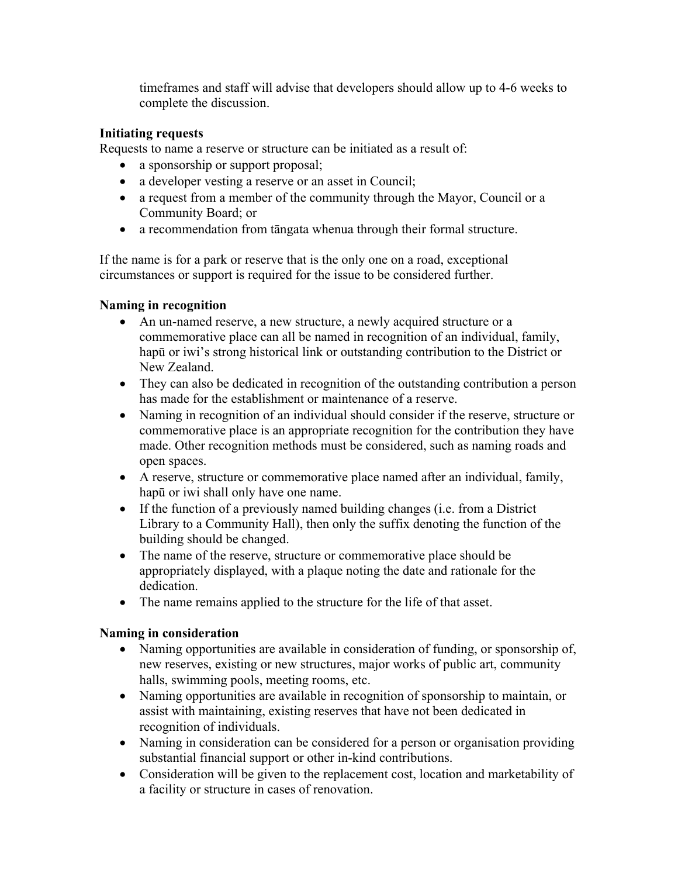timeframes and staff will advise that developers should allow up to 4-6 weeks to complete the discussion.

### **Initiating requests**

Requests to name a reserve or structure can be initiated as a result of:

- a sponsorship or support proposal;
- a developer vesting a reserve or an asset in Council;
- a request from a member of the community through the Mayor, Council or a Community Board; or
- a recommendation from tāngata whenua through their formal structure.

If the name is for a park or reserve that is the only one on a road, exceptional circumstances or support is required for the issue to be considered further.

### **Naming in recognition**

- An un-named reserve, a new structure, a newly acquired structure or a commemorative place can all be named in recognition of an individual, family, hapū or iwi's strong historical link or outstanding contribution to the District or New Zealand.
- They can also be dedicated in recognition of the outstanding contribution a person has made for the establishment or maintenance of a reserve.
- Naming in recognition of an individual should consider if the reserve, structure or commemorative place is an appropriate recognition for the contribution they have made. Other recognition methods must be considered, such as naming roads and open spaces.
- A reserve, structure or commemorative place named after an individual, family, hapū or iwi shall only have one name.
- If the function of a previously named building changes (i.e. from a District Library to a Community Hall), then only the suffix denoting the function of the building should be changed.
- The name of the reserve, structure or commemorative place should be appropriately displayed, with a plaque noting the date and rationale for the dedication.
- The name remains applied to the structure for the life of that asset.

## **Naming in consideration**

- Naming opportunities are available in consideration of funding, or sponsorship of, new reserves, existing or new structures, major works of public art, community halls, swimming pools, meeting rooms, etc.
- Naming opportunities are available in recognition of sponsorship to maintain, or assist with maintaining, existing reserves that have not been dedicated in recognition of individuals.
- Naming in consideration can be considered for a person or organisation providing substantial financial support or other in-kind contributions.
- Consideration will be given to the replacement cost, location and marketability of a facility or structure in cases of renovation.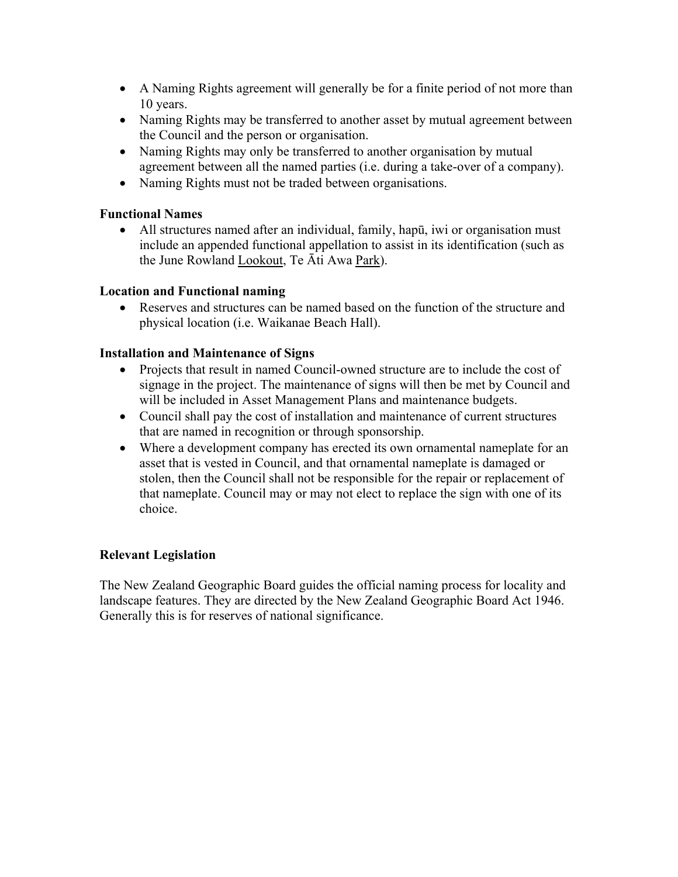- A Naming Rights agreement will generally be for a finite period of not more than 10 years.
- Naming Rights may be transferred to another asset by mutual agreement between the Council and the person or organisation.
- Naming Rights may only be transferred to another organisation by mutual agreement between all the named parties (i.e. during a take-over of a company).
- Naming Rights must not be traded between organisations.

#### **Functional Names**

• All structures named after an individual, family, hapū, iwi or organisation must include an appended functional appellation to assist in its identification (such as the June Rowland Lookout, Te Āti Awa Park).

#### **Location and Functional naming**

• Reserves and structures can be named based on the function of the structure and physical location (i.e. Waikanae Beach Hall).

### **Installation and Maintenance of Signs**

- Projects that result in named Council-owned structure are to include the cost of signage in the project. The maintenance of signs will then be met by Council and will be included in Asset Management Plans and maintenance budgets.
- Council shall pay the cost of installation and maintenance of current structures that are named in recognition or through sponsorship.
- Where a development company has erected its own ornamental nameplate for an asset that is vested in Council, and that ornamental nameplate is damaged or stolen, then the Council shall not be responsible for the repair or replacement of that nameplate. Council may or may not elect to replace the sign with one of its choice.

## **Relevant Legislation**

The New Zealand Geographic Board guides the official naming process for locality and landscape features. They are directed by the New Zealand Geographic Board Act 1946. Generally this is for reserves of national significance.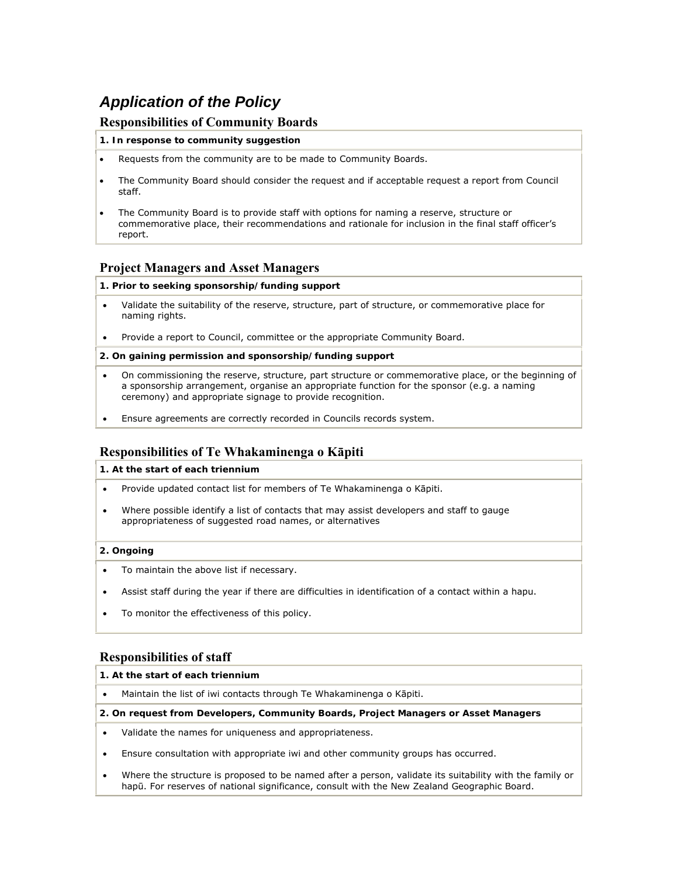## *Application of the Policy*

#### **Responsibilities of Community Boards**

#### **1. In response to community suggestion**

- Requests from the community are to be made to Community Boards.
- The Community Board should consider the request and if acceptable request a report from Council staff.
- The Community Board is to provide staff with options for naming a reserve, structure or commemorative place, their recommendations and rationale for inclusion in the final staff officer's report.

#### **Project Managers and Asset Managers**

#### **1. Prior to seeking sponsorship/funding support**

- Validate the suitability of the reserve, structure, part of structure, or commemorative place for naming rights.
- Provide a report to Council, committee or the appropriate Community Board.

#### **2. On gaining permission and sponsorship/funding support**

- On commissioning the reserve, structure, part structure or commemorative place, or the beginning of a sponsorship arrangement, organise an appropriate function for the sponsor (e.g. a naming ceremony) and appropriate signage to provide recognition.
- Ensure agreements are correctly recorded in Councils records system.

#### **Responsibilities of Te Whakaminenga o Kāpiti**

**1. At the start of each triennium**

- Provide updated contact list for members of Te Whakaminenga o Kāpiti.
- Where possible identify a list of contacts that may assist developers and staff to gauge appropriateness of suggested road names, or alternatives

#### **2. Ongoing**

- To maintain the above list if necessary.
- Assist staff during the year if there are difficulties in identification of a contact within a hapu.
- To monitor the effectiveness of this policy.

#### **Responsibilities of staff**

#### **1. At the start of each triennium**

• Maintain the list of iwi contacts through Te Whakaminenga o Kāpiti.

**2. On request from Developers, Community Boards, Project Managers or Asset Managers**

- Validate the names for uniqueness and appropriateness.
- Ensure consultation with appropriate iwi and other community groups has occurred.
- Where the structure is proposed to be named after a person, validate its suitability with the family or hapū. For reserves of national significance, consult with the New Zealand Geographic Board.